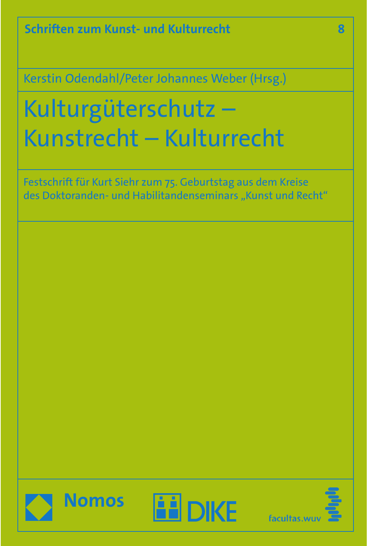**Schriften zum Kunst- und Kulturrecht**

Kerstin Odendahl/Peter Johannes Weber (Hrsg.)

# Kulturgüterschutz – Kunstrecht – Kulturrecht

Festschrift für Kurt Siehr zum 75. Geburtstag aus dem Kreise des Doktoranden- und Habilitandenseminars "Kunst und Recht"







**8**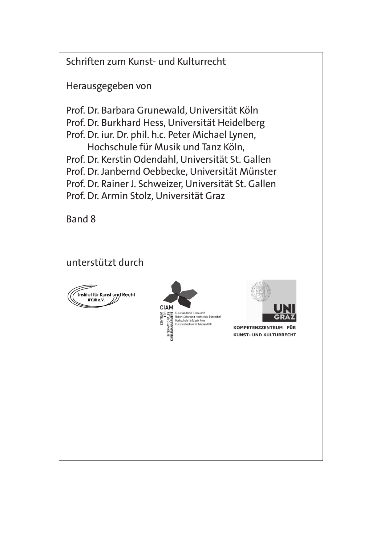Schriften zum Kunst- und Kulturrecht

Herausgegeben von

Prof. Dr. Barbara Grunewald, Universität Köln Prof. Dr. Burkhard Hess, Universität Heidelberg Prof. Dr. iur. Dr. phil. h.c. Peter Michael Lynen, Hochschule für Musik und Tanz Köln, Prof. Dr. Kerstin Odendahl, Universität St. Gallen Prof. Dr. Janbernd Oebbecke, Universität Münster Prof. Dr. Rainer J. Schweizer, Universität St. Gallen Prof. Dr. Armin Stolz, Universität Graz

Band 8

unterstützt durch







KOMPETENZZENTRUM FÜR **KUNST- UND KULTURRECHT**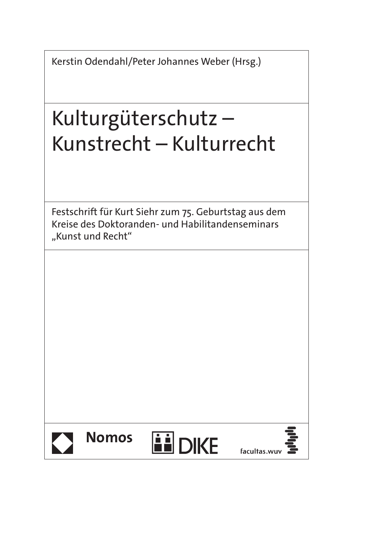Kerstin Odendahl/Peter Johannes Weber (Hrsg.)

# Kulturgüterschutz – Kunstrecht – Kulturrecht

Festschrift für Kurt Siehr zum 75. Geburtstag aus dem Kreise des Doktoranden- und Habilitandenseminars "Kunst und Recht"







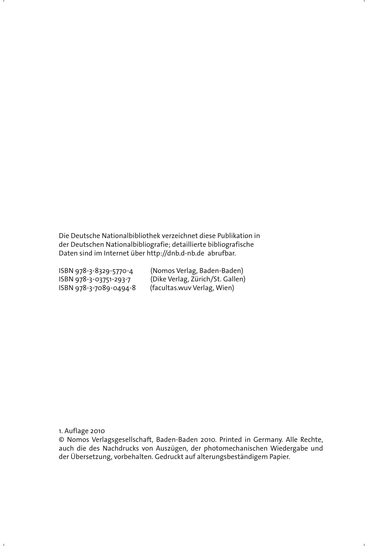Die Deutsche Nationalbibliothek verzeichnet diese Publikation in der Deutschen Nationalbibliografie; detaillierte bibliografische Daten sind im Internet über http://dnb.d-nb.de abrufbar.

 $ISBN 978-3-7089-0494-8$ 

ISBN 978-3-8329-5770-4 (Nomos Verlag, Baden-Baden) ISBN 978-3-03751-293-7 (Dike Verlag, Zürich/St. Gallen)<br>ISBN 978-3-7089-0494-8 (facultas.wuv Verlag, Wien)

1. Auflage 2010

© Nomos Verlagsgesellschaft, Baden-Baden 2010. Printed in Germany. Alle Rechte, auch die des Nachdrucks von Auszügen, der photomechanischen Wiedergabe und der Übersetzung, vorbehalten. Gedruckt auf alterungsbeständigem Papier.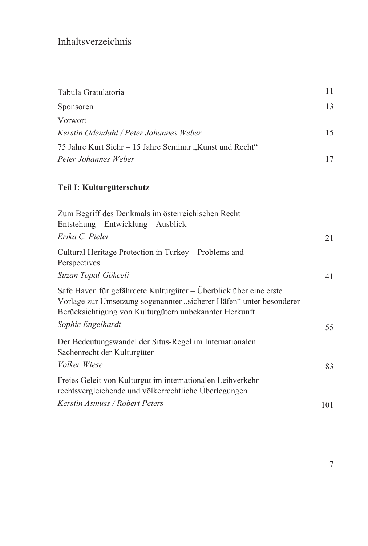# Inhaltsverzeichnis

| Tabula Gratulatoria                                      |    |
|----------------------------------------------------------|----|
| Sponsoren                                                | 13 |
| <i>Vorwort</i>                                           |    |
| Kerstin Odendahl / Peter Johannes Weber                  | 15 |
| 75 Jahre Kurt Siehr – 15 Jahre Seminar "Kunst und Recht" |    |
| Peter Johannes Weber                                     |    |
|                                                          |    |

## **Teil I: Kulturgüterschutz**

| Zum Begriff des Denkmals im österreichischen Recht<br>Entstehung – Entwicklung – Ausblick                                                                                                          |     |
|----------------------------------------------------------------------------------------------------------------------------------------------------------------------------------------------------|-----|
| Erika C. Pieler                                                                                                                                                                                    | 21  |
| Cultural Heritage Protection in Turkey – Problems and<br>Perspectives                                                                                                                              |     |
| Suzan Topal-Gökceli                                                                                                                                                                                | 41  |
| Safe Haven für gefährdete Kulturgüter – Überblick über eine erste<br>Vorlage zur Umsetzung sogenannter "sicherer Häfen" unter besonderer<br>Berücksichtigung von Kulturgütern unbekannter Herkunft |     |
| Sophie Engelhardt                                                                                                                                                                                  | 55  |
| Der Bedeutungswandel der Situs-Regel im Internationalen<br>Sachenrecht der Kulturgüter                                                                                                             |     |
| Volker Wiese                                                                                                                                                                                       | 83  |
| Freies Geleit von Kulturgut im internationalen Leihverkehr-<br>rechtsvergleichende und völkerrechtliche Überlegungen                                                                               |     |
| Kerstin Asmuss / Robert Peters                                                                                                                                                                     | 101 |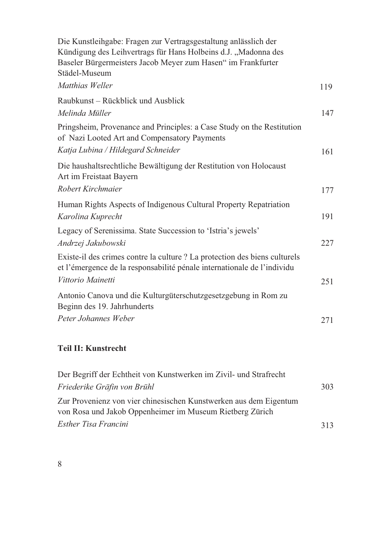| Die Kunstleihgabe: Fragen zur Vertragsgestaltung anlässlich der                                                                                       |     |
|-------------------------------------------------------------------------------------------------------------------------------------------------------|-----|
| Kündigung des Leihvertrags für Hans Holbeins d.J. "Madonna des                                                                                        |     |
| Baseler Bürgermeisters Jacob Meyer zum Hasen" im Frankfurter                                                                                          |     |
| Städel-Museum                                                                                                                                         |     |
| Matthias Weller                                                                                                                                       | 119 |
| Raubkunst - Rückblick und Ausblick                                                                                                                    |     |
| Melinda Müller                                                                                                                                        | 147 |
| Pringsheim, Provenance and Principles: a Case Study on the Restitution<br>of Nazi Looted Art and Compensatory Payments                                |     |
| Katja Lubina / Hildegard Schneider                                                                                                                    | 161 |
| Die haushaltsrechtliche Bewältigung der Restitution von Holocaust<br>Art im Freistaat Bayern                                                          |     |
| Robert Kirchmaier                                                                                                                                     | 177 |
| Human Rights Aspects of Indigenous Cultural Property Repatriation                                                                                     |     |
| Karolina Kuprecht                                                                                                                                     | 191 |
| Legacy of Serenissima. State Succession to 'Istria's jewels'                                                                                          |     |
| Andrzej Jakubowski                                                                                                                                    | 227 |
| Existe-il des crimes contre la culture ? La protection des biens culturels<br>et l'émergence de la responsabilité pénale internationale de l'individu |     |
| Vittorio Mainetti                                                                                                                                     | 251 |
| Antonio Canova und die Kulturgüterschutzgesetzgebung in Rom zu<br>Beginn des 19. Jahrhunderts                                                         |     |
| Peter Johannes Weber                                                                                                                                  | 271 |
|                                                                                                                                                       |     |

| Der Begriff der Echtheit von Kunstwerken im Zivil- und Strafrecht                                                             |     |
|-------------------------------------------------------------------------------------------------------------------------------|-----|
| Friederike Gräfin von Brühl                                                                                                   | 303 |
| Zur Provenienz von vier chinesischen Kunstwerken aus dem Eigentum<br>von Rosa und Jakob Oppenheimer im Museum Rietberg Zürich |     |
| Esther Tisa Francini                                                                                                          | 313 |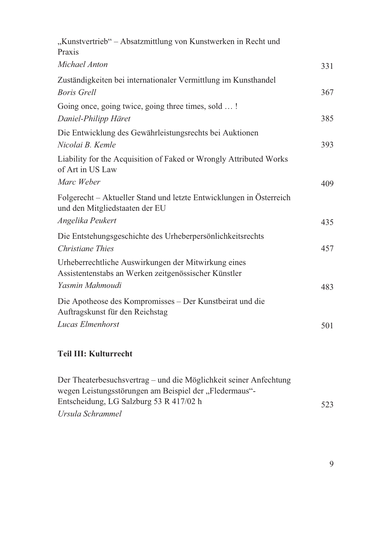| "Kunstvertrieb" - Absatzmittlung von Kunstwerken in Recht und<br>Praxis                                                        |     |
|--------------------------------------------------------------------------------------------------------------------------------|-----|
| Michael Anton                                                                                                                  | 331 |
| Zuständigkeiten bei internationaler Vermittlung im Kunsthandel<br><b>Boris Grell</b>                                           | 367 |
| Going once, going twice, going three times, sold !<br>Daniel-Philipp Häret                                                     | 385 |
| Die Entwicklung des Gewährleistungsrechts bei Auktionen<br>Nicolai B. Kemle                                                    | 393 |
| Liability for the Acquisition of Faked or Wrongly Attributed Works<br>of Art in US Law<br>Marc Weber                           | 409 |
| Folgerecht – Aktueller Stand und letzte Entwicklungen in Österreich<br>und den Mitgliedstaaten der EU<br>Angelika Peukert      | 435 |
| Die Entstehungsgeschichte des Urheberpersönlichkeitsrechts<br>Christiane Thies                                                 | 457 |
| Urheberrechtliche Auswirkungen der Mitwirkung eines<br>Assistentenstabs an Werken zeitgenössischer Künstler<br>Yasmin Mahmoudi |     |
| Die Apotheose des Kompromisses – Der Kunstbeirat und die<br>Auftragskunst für den Reichstag                                    | 483 |
| Lucas Elmenhorst                                                                                                               | 501 |
|                                                                                                                                |     |

| Der Theaterbesuchsvertrag – und die Möglichkeit seiner Anfechtung |     |
|-------------------------------------------------------------------|-----|
| wegen Leistungsstörungen am Beispiel der "Fledermaus"-            |     |
| Entscheidung, LG Salzburg 53 R 417/02 h                           | 523 |
| Ursula Schrammel                                                  |     |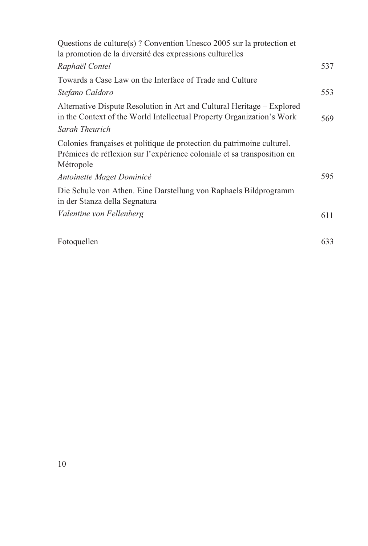| Questions de culture(s)? Convention Unesco 2005 sur la protection et<br>la promotion de la diversité des expressions culturelles                               |     |
|----------------------------------------------------------------------------------------------------------------------------------------------------------------|-----|
| Raphaël Contel                                                                                                                                                 | 537 |
| Towards a Case Law on the Interface of Trade and Culture                                                                                                       |     |
| Stefano Caldoro                                                                                                                                                | 553 |
| Alternative Dispute Resolution in Art and Cultural Heritage - Explored<br>in the Context of the World Intellectual Property Organization's Work                | 569 |
| Sarah Theurich                                                                                                                                                 |     |
| Colonies françaises et politique de protection du patrimoine culturel.<br>Prémices de réflexion sur l'expérience coloniale et sa transposition en<br>Métropole |     |
| Antoinette Maget Dominicé                                                                                                                                      | 595 |
| Die Schule von Athen. Eine Darstellung von Raphaels Bildprogramm<br>in der Stanza della Segnatura                                                              |     |
| Valentine von Fellenberg                                                                                                                                       | 611 |
|                                                                                                                                                                |     |

| Fotoquellen | 633 |
|-------------|-----|
|-------------|-----|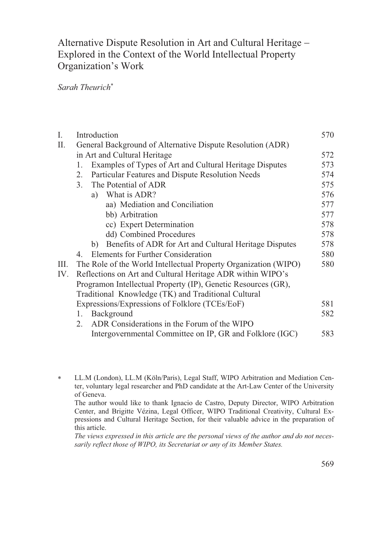## Alternative Dispute Resolution in Art and Cultural Heritage -Explored in the Context of the World Intellectual Property Organization's Work

### *Sarah Theurich*

| I.   | Introduction                                                    |     |  |  |  |
|------|-----------------------------------------------------------------|-----|--|--|--|
| П.   | General Background of Alternative Dispute Resolution (ADR)      |     |  |  |  |
|      | in Art and Cultural Heritage                                    | 572 |  |  |  |
|      | Examples of Types of Art and Cultural Heritage Disputes<br>1.   | 573 |  |  |  |
|      | Particular Features and Dispute Resolution Needs<br>2.          | 574 |  |  |  |
|      | The Potential of ADR<br>3.                                      | 575 |  |  |  |
|      | What is ADR?<br>a)                                              | 576 |  |  |  |
|      | aa) Mediation and Conciliation                                  | 577 |  |  |  |
|      | bb) Arbitration                                                 | 577 |  |  |  |
|      | cc) Expert Determination                                        | 578 |  |  |  |
|      | dd) Combined Procedures                                         | 578 |  |  |  |
|      | Benefits of ADR for Art and Cultural Heritage Disputes<br>b)    | 578 |  |  |  |
|      | Elements for Further Consideration<br>4.                        | 580 |  |  |  |
| III. | The Role of the World Intellectual Property Organization (WIPO) | 580 |  |  |  |
| IV.  | Reflections on Art and Cultural Heritage ADR within WIPO's      |     |  |  |  |
|      | Programon Intellectual Property (IP), Genetic Resources (GR),   |     |  |  |  |
|      | Traditional Knowledge (TK) and Traditional Cultural             |     |  |  |  |
|      | Expressions/Expressions of Folklore (TCEs/EoF)                  | 581 |  |  |  |
|      | Background<br>1.                                                | 582 |  |  |  |
|      | ADR Considerations in the Forum of the WIPO<br>2.               |     |  |  |  |
|      | Intergovernmental Committee on IP, GR and Folklore (IGC)        | 583 |  |  |  |

 LL.M (London), LL.M (Köln/Paris), Legal Staff, WIPO Arbitration and Mediation Center, voluntary legal researcher and PhD candidate at the Art-Law Center of the University of Geneva.

 The author would like to thank Ignacio de Castro, Deputy Director, WIPO Arbitration Center, and Brigitte Vézina, Legal Officer, WIPO Traditional Creativity, Cultural Expressions and Cultural Heritage Section, for their valuable advice in the preparation of this article.

 *The views expressed in this article are the personal views of the author and do not necessarily reflect those of WIPO, its Secretariat or any of its Member States.*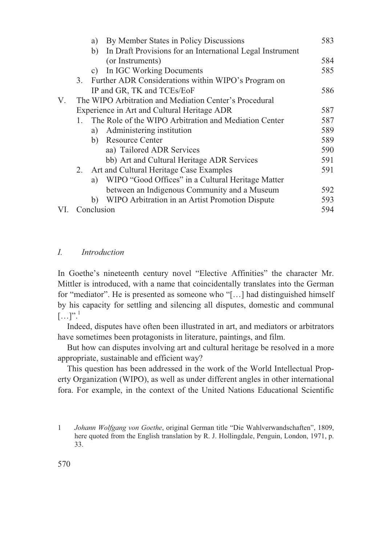|     |    | By Member States in Policy Discussions<br>a)                    | 583 |
|-----|----|-----------------------------------------------------------------|-----|
|     |    | In Draft Provisions for an International Legal Instrument<br>b) |     |
|     |    | (or Instruments)                                                | 584 |
|     |    | In IGC Working Documents<br>C)                                  | 585 |
|     |    | 3. Further ADR Considerations within WIPO's Program on          |     |
|     |    | IP and GR, TK and TCEs/EoF                                      | 586 |
| V.  |    | The WIPO Arbitration and Mediation Center's Procedural          |     |
|     |    | Experience in Art and Cultural Heritage ADR                     | 587 |
|     |    | The Role of the WIPO Arbitration and Mediation Center           | 587 |
|     |    | Administering institution<br>a)                                 | 589 |
|     |    | <b>Resource Center</b><br>b)                                    | 589 |
|     |    | aa) Tailored ADR Services                                       | 590 |
|     |    | bb) Art and Cultural Heritage ADR Services                      | 591 |
|     | 2. | Art and Cultural Heritage Case Examples                         | 591 |
|     |    | WIPO "Good Offices" in a Cultural Heritage Matter<br>a)         |     |
|     |    | between an Indigenous Community and a Museum                    | 592 |
|     |    | WIPO Arbitration in an Artist Promotion Dispute<br>b)           | 593 |
| VI. |    | Conclusion                                                      | 594 |

#### *I. Introduction*

In Goethe's nineteenth century novel "Elective Affinities" the character Mr. Mittler is introduced, with a name that coincidentally translates into the German for "mediator". He is presented as someone who "[…] had distinguished himself by his capacity for settling and silencing all disputes, domestic and communal  $[...]$ .<sup>1</sup>

Indeed, disputes have often been illustrated in art, and mediators or arbitrators have sometimes been protagonists in literature, paintings, and film.

But how can disputes involving art and cultural heritage be resolved in a more appropriate, sustainable and efficient way?

This question has been addressed in the work of the World Intellectual Property Organization (WIPO), as well as under different angles in other international fora. For example, in the context of the United Nations Educational Scientific

<sup>1</sup> *Johann Wolfgang von Goethe*, original German title "Die Wahlverwandschaften", 1809, here quoted from the English translation by R. J. Hollingdale, Penguin, London, 1971, p. 33.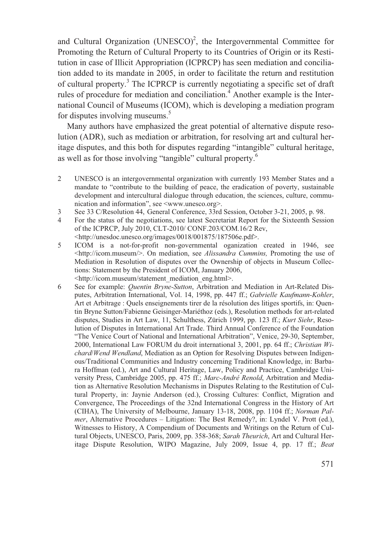and Cultural Organization (UNESCO)<sup>2</sup>, the Intergovernmental Committee for Promoting the Return of Cultural Property to its Countries of Origin or its Restitution in case of Illicit Appropriation (ICPRCP) has seen mediation and conciliation added to its mandate in 2005, in order to facilitate the return and restitution of cultural property.<sup>3</sup> The ICPRCP is currently negotiating a specific set of draft rules of procedure for mediation and conciliation.<sup>4</sup> Another example is the International Council of Museums (ICOM), which is developing a mediation program for disputes involving museums.<sup>5</sup>

Many authors have emphasized the great potential of alternative dispute resolution (ADR), such as mediation or arbitration, for resolving art and cultural heritage disputes, and this both for disputes regarding "intangible" cultural heritage, as well as for those involving "tangible" cultural property.<sup>6</sup>

- 2 UNESCO is an intergovernmental organization with currently 193 Member States and a mandate to "contribute to the building of peace, the eradication of poverty, sustainable development and intercultural dialogue through education, the sciences, culture, communication and information", see <www.unesco.org>.
- 3 See 33 C/Resolution 44, General Conference, 33rd Session, October 3-21, 2005, p. 98.
- 4 For the status of the negotiations, see latest Secretariat Report for the Sixteenth Session of the ICPRCP, July 2010, CLT-2010/ CONF.203/COM.16/2 Rev, <http://unesdoc.unesco.org/images/0018/001875/187506e.pdf>.
- 5 ICOM is a not-for-profit non-governmental oganization created in 1946, see <http://icom.museum/>. On mediation, see *Alissandra Cummins,* Promoting the use of Mediation in Resolution of disputes over the Ownership of objects in Museum Collections: Statement by the President of ICOM, January 2006, <http://icom.museum/statement\_mediation\_eng.html>.
- 6 See for example: *Quentin Bryne-Sutton*, Arbitration and Mediation in Art-Related Disputes, Arbitration International, Vol. 14, 1998, pp. 447 ff.; *Gabrielle Kaufmann-Kohler*, Art et Arbitrage : Quels enseignements tirer de la résolution des litiges sportifs, in: Quentin Bryne Sutton/Fabienne Geisinger-Mariéthoz (eds.), Resolution methods for art-related disputes, Studies in Art Law, 11, Schulthess, Zürich 1999, pp. 123 ff.; *Kurt Siehr*, Resolution of Disputes in International Art Trade. Third Annual Conference of the Foundation "The Venice Court of National and International Arbitration", Venice, 29-30, September, 2000, International Law FORUM du droit international 3, 2001, pp. 64 ff.; *Christian Wichard*/*Wend Wendland*, Mediation as an Option for Resolving Disputes between Indigenous/Traditional Communities and Industry concerning Traditional Knowledge, in: Barbara Hoffman (ed.), Art and Cultural Heritage, Law, Policy and Practice, Cambridge University Press, Cambridge 2005, pp. 475 ff.; *Marc-André Renold*, Arbitration and Mediation as Alternative Resolution Mechanisms in Disputes Relating to the Restitution of Cultural Property, in: Jaynie Anderson (ed.), Crossing Cultures: Conflict, Migration and Convergence, The Proceedings of the 32nd International Congress in the History of Art (CIHA), The University of Melbourne, January 13-18, 2008, pp. 1104 ff.; *Norman Palmer*, Alternative Procedures – Litigation: The Best Remedy?, in: Lyndel V. Prott (ed.), Witnesses to History, A Compendium of Documents and Writings on the Return of Cultural Objects, UNESCO, Paris, 2009, pp. 358-368; *Sarah Theurich*, Art and Cultural Heritage Dispute Resolution, WIPO Magazine, July 2009, Issue 4, pp. 17 ff.; *Beat*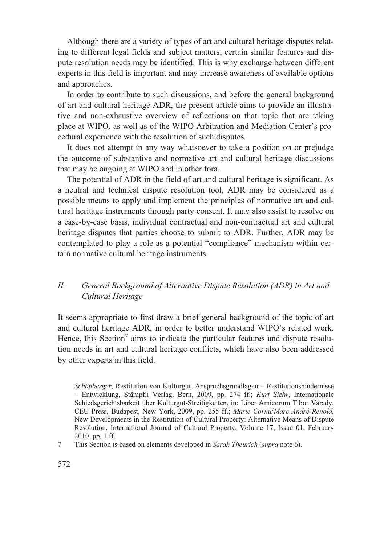Although there are a variety of types of art and cultural heritage disputes relating to different legal fields and subject matters, certain similar features and dispute resolution needs may be identified. This is why exchange between different experts in this field is important and may increase awareness of available options and approaches.

In order to contribute to such discussions, and before the general background of art and cultural heritage ADR, the present article aims to provide an illustrative and non-exhaustive overview of reflections on that topic that are taking place at WIPO, as well as of the WIPO Arbitration and Mediation Center's procedural experience with the resolution of such disputes.

It does not attempt in any way whatsoever to take a position on or prejudge the outcome of substantive and normative art and cultural heritage discussions that may be ongoing at WIPO and in other fora.

The potential of ADR in the field of art and cultural heritage is significant. As a neutral and technical dispute resolution tool, ADR may be considered as a possible means to apply and implement the principles of normative art and cultural heritage instruments through party consent. It may also assist to resolve on a case-by-case basis, individual contractual and non-contractual art and cultural heritage disputes that parties choose to submit to ADR. Further, ADR may be contemplated to play a role as a potential "compliance" mechanism within certain normative cultural heritage instruments.

#### *II. General Background of Alternative Dispute Resolution (ADR) in Art and Cultural Heritage*

It seems appropriate to first draw a brief general background of the topic of art and cultural heritage ADR, in order to better understand WIPO's related work. Hence, this Section<sup>7</sup> aims to indicate the particular features and dispute resolution needs in art and cultural heritage conflicts, which have also been addressed by other experts in this field.

7 This Section is based on elements developed in *Sarah Theurich* (*supra* note 6).

*Schönberger*, Restitution von Kulturgut, Anspruchsgrundlagen – Restitutionshindernisse – Entwicklung, Stämpfli Verlag, Bern, 2009, pp. 274 ff.; *Kurt Siehr*, Internationale Schiedsgerichtsbarkeit über Kulturgut-Streitigkeiten, in: Liber Amicorum Tibor Várady, CEU Press, Budapest, New York, 2009, pp. 255 ff.; *Marie Cornu*/*Marc-André Renold*, New Developments in the Restitution of Cultural Property: Alternative Means of Dispute Resolution, International Journal of Cultural Property, Volume 17, Issue 01, February 2010, pp. 1 ff.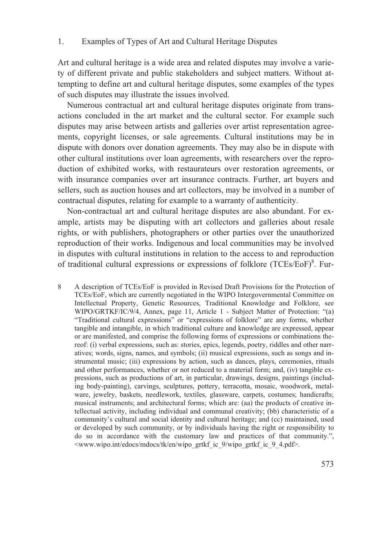#### 1. Examples of Types of Art and Cultural Heritage Disputes

Art and cultural heritage is a wide area and related disputes may involve a variety of different private and public stakeholders and subject matters. Without attempting to define art and cultural heritage disputes, some examples of the types of such disputes may illustrate the issues involved.

Numerous contractual art and cultural heritage disputes originate from transactions concluded in the art market and the cultural sector. For example such disputes may arise between artists and galleries over artist representation agreements, copyright licenses, or sale agreements. Cultural institutions may be in dispute with donors over donation agreements. They may also be in dispute with other cultural institutions over loan agreements, with researchers over the reproduction of exhibited works, with restaurateurs over restoration agreements, or with insurance companies over art insurance contracts. Further, art buyers and sellers, such as auction houses and art collectors, may be involved in a number of contractual disputes, relating for example to a warranty of authenticity.

Non-contractual art and cultural heritage disputes are also abundant. For example, artists may be disputing with art collectors and galleries about resale rights, or with publishers, photographers or other parties over the unauthorized reproduction of their works. Indigenous and local communities may be involved in disputes with cultural institutions in relation to the access to and reproduction of traditional cultural expressions or expressions of folklore (TCEs/EoF)<sup>8</sup>. Fur-

8 A description of TCEs/EoF is provided in Revised Draft Provisions for the Protection of TCEs/EoF, which are currently negotiated in the WIPO Intergovernmental Committee on Intellectual Property, Genetic Resources, Traditional Knowledge and Folklore, see WIPO/GRTKF/IC/9/4, Annex, page 11, Article 1 - Subject Matter of Protection: "(a) "Traditional cultural expressions" or "expressions of folklore" are any forms, whether tangible and intangible, in which traditional culture and knowledge are expressed, appear or are manifested, and comprise the following forms of expressions or combinations thereof: (i) verbal expressions, such as: stories, epics, legends, poetry, riddles and other narratives; words, signs, names, and symbols; (ii) musical expressions, such as songs and instrumental music; (iii) expressions by action, such as dances, plays, ceremonies, rituals and other performances, whether or not reduced to a material form; and, (iv) tangible expressions, such as productions of art, in particular, drawings, designs, paintings (including body-painting), carvings, sculptures, pottery, terracotta, mosaic, woodwork, metalware, jewelry, baskets, needlework, textiles, glassware, carpets, costumes; handicrafts; musical instruments; and architectural forms; which are: (aa) the products of creative intellectual activity, including individual and communal creativity; (bb) characteristic of a community's cultural and social identity and cultural heritage; and (cc) maintained, used or developed by such community, or by individuals having the right or responsibility to do so in accordance with the customary law and practices of that community.", <www.wipo.int/edocs/mdocs/tk/en/wipo\_grtkf\_ic\_9/wipo\_grtkf\_ic\_9\_4.pdf>.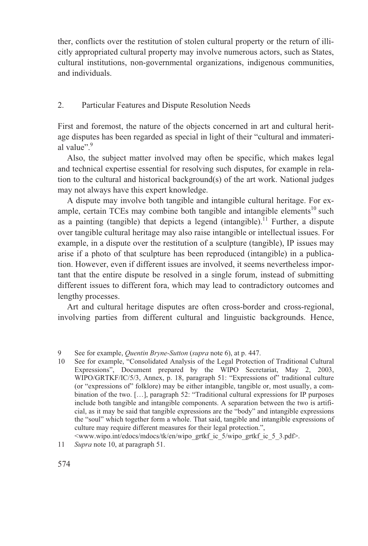ther, conflicts over the restitution of stolen cultural property or the return of illicitly appropriated cultural property may involve numerous actors, such as States, cultural institutions, non-governmental organizations, indigenous communities, and individuals.

#### 2. Particular Features and Dispute Resolution Needs

First and foremost, the nature of the objects concerned in art and cultural heritage disputes has been regarded as special in light of their "cultural and immaterial value"<sup>9</sup>

Also, the subject matter involved may often be specific, which makes legal and technical expertise essential for resolving such disputes, for example in relation to the cultural and historical background(s) of the art work. National judges may not always have this expert knowledge.

A dispute may involve both tangible and intangible cultural heritage. For example, certain TCEs may combine both tangible and intangible elements $10$  such as a painting (tangible) that depicts a legend (intangible).<sup>11</sup> Further, a dispute over tangible cultural heritage may also raise intangible or intellectual issues. For example, in a dispute over the restitution of a sculpture (tangible), IP issues may arise if a photo of that sculpture has been reproduced (intangible) in a publication. However, even if different issues are involved, it seems nevertheless important that the entire dispute be resolved in a single forum, instead of submitting different issues to different fora, which may lead to contradictory outcomes and lengthy processes.

Art and cultural heritage disputes are often cross-border and cross-regional, involving parties from different cultural and linguistic backgrounds. Hence,

<www.wipo.int/edocs/mdocs/tk/en/wipo\_grtkf\_ic\_5/wipo\_grtkf\_ic\_5\_3.pdf>.

<sup>9</sup> See for example, *Quentin Bryne-Sutton* (*supra* note 6), at p. 447.

<sup>10</sup> See for example, "Consolidated Analysis of the Legal Protection of Traditional Cultural Expressions", Document prepared by the WIPO Secretariat, May 2, 2003, WIPO/GRTKF/IC/5/3, Annex, p. 18, paragraph 51: "Expressions of" traditional culture (or "expressions of" folklore) may be either intangible, tangible or, most usually, a combination of the two. […], paragraph 52: "Traditional cultural expressions for IP purposes include both tangible and intangible components. A separation between the two is artificial, as it may be said that tangible expressions are the "body" and intangible expressions the "soul" which together form a whole. That said, tangible and intangible expressions of culture may require different measures for their legal protection.",

<sup>11</sup> *Supra* note 10, at paragraph 51.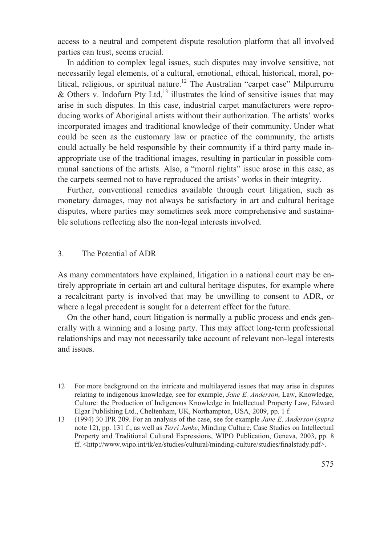access to a neutral and competent dispute resolution platform that all involved parties can trust, seems crucial.

In addition to complex legal issues, such disputes may involve sensitive, not necessarily legal elements, of a cultural, emotional, ethical, historical, moral, political, religious, or spiritual nature.<sup>12</sup> The Australian "carpet case" Milpurrurru  $&$  Others v. Indofurn Pty Ltd,<sup>13</sup> illustrates the kind of sensitive issues that may arise in such disputes. In this case, industrial carpet manufacturers were reproducing works of Aboriginal artists without their authorization. The artists' works incorporated images and traditional knowledge of their community. Under what could be seen as the customary law or practice of the community, the artists could actually be held responsible by their community if a third party made inappropriate use of the traditional images, resulting in particular in possible communal sanctions of the artists. Also, a "moral rights" issue arose in this case, as the carpets seemed not to have reproduced the artists' works in their integrity.

Further, conventional remedies available through court litigation, such as monetary damages, may not always be satisfactory in art and cultural heritage disputes, where parties may sometimes seek more comprehensive and sustainable solutions reflecting also the non-legal interests involved.

#### 3. The Potential of ADR

As many commentators have explained, litigation in a national court may be entirely appropriate in certain art and cultural heritage disputes, for example where a recalcitrant party is involved that may be unwilling to consent to ADR, or where a legal precedent is sought for a deterrent effect for the future.

On the other hand, court litigation is normally a public process and ends generally with a winning and a losing party. This may affect long-term professional relationships and may not necessarily take account of relevant non-legal interests and issues.

<sup>12</sup> For more background on the intricate and multilayered issues that may arise in disputes relating to indigenous knowledge, see for example, *Jane E. Anderson*, Law, Knowledge, Culture: the Production of Indigenous Knowledge in Intellectual Property Law, Edward Elgar Publishing Ltd., Cheltenham, UK, Northampton, USA, 2009, pp. 1 f.

<sup>13 (1994) 30</sup> IPR 209. For an analysis of the case, see for example *Jane E. Anderson* (*supra* note 12), pp. 131 f.; as well as *Terri Janke*, Minding Culture, Case Studies on Intellectual Property and Traditional Cultural Expressions, WIPO Publication, Geneva, 2003, pp. 8 ff. <http://www.wipo.int/tk/en/studies/cultural/minding-culture/studies/finalstudy.pdf>.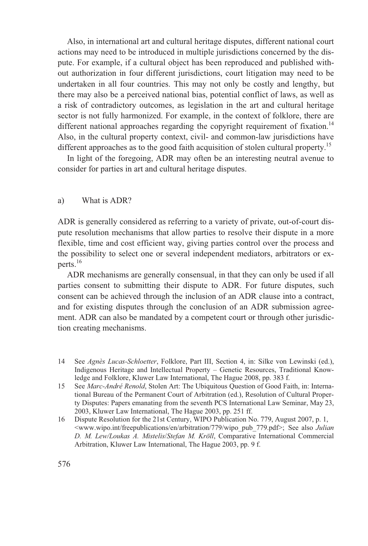Also, in international art and cultural heritage disputes, different national court actions may need to be introduced in multiple jurisdictions concerned by the dispute. For example, if a cultural object has been reproduced and published without authorization in four different jurisdictions, court litigation may need to be undertaken in all four countries. This may not only be costly and lengthy, but there may also be a perceived national bias, potential conflict of laws, as well as a risk of contradictory outcomes, as legislation in the art and cultural heritage sector is not fully harmonized. For example, in the context of folklore, there are different national approaches regarding the copyright requirement of fixation.<sup>14</sup> Also, in the cultural property context, civil- and common-law jurisdictions have different approaches as to the good faith acquisition of stolen cultural property.<sup>15</sup>

In light of the foregoing, ADR may often be an interesting neutral avenue to consider for parties in art and cultural heritage disputes.

#### a) What is ADR?

ADR is generally considered as referring to a variety of private, out-of-court dispute resolution mechanisms that allow parties to resolve their dispute in a more flexible, time and cost efficient way, giving parties control over the process and the possibility to select one or several independent mediators, arbitrators or experts.16

ADR mechanisms are generally consensual, in that they can only be used if all parties consent to submitting their dispute to ADR. For future disputes, such consent can be achieved through the inclusion of an ADR clause into a contract, and for existing disputes through the conclusion of an ADR submission agreement. ADR can also be mandated by a competent court or through other jurisdiction creating mechanisms.

- 14 See *Agnès Lucas-Schloetter*, Folklore, Part III, Section 4, in: Silke von Lewinski (ed.), Indigenous Heritage and Intellectual Property – Genetic Resources, Traditional Knowledge and Folklore, Kluwer Law International, The Hague 2008, pp. 383 f.
- 15 See *Marc-André Renold*, Stolen Art: The Ubiquitous Question of Good Faith, in: International Bureau of the Permanent Court of Arbitration (ed.), Resolution of Cultural Property Disputes: Papers emanating from the seventh PCS International Law Seminar, May 23, 2003, Kluwer Law International, The Hague 2003, pp. 251 ff.
- 16 Dispute Resolution for the 21st Century, WIPO Publication No. 779, August 2007, p. 1, <www.wipo.int/freepublications/en/arbitration/779/wipo\_pub\_779.pdf>; See also *Julian D. M. Lew/Loukas A. Mistelis*/*Stefan M. Kröll*, Comparative International Commercial Arbitration, Kluwer Law International, The Hague 2003, pp. 9 f.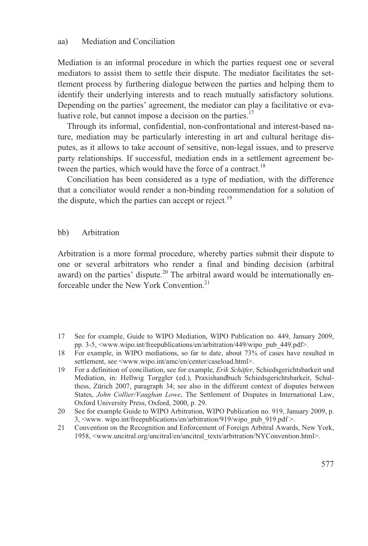Mediation is an informal procedure in which the parties request one or several mediators to assist them to settle their dispute. The mediator facilitates the settlement process by furthering dialogue between the parties and helping them to identify their underlying interests and to reach mutually satisfactory solutions. Depending on the parties' agreement, the mediator can play a facilitative or evaluative role, but cannot impose a decision on the parties. $17$ 

Through its informal, confidential, non-confrontational and interest-based nature, mediation may be particularly interesting in art and cultural heritage disputes, as it allows to take account of sensitive, non-legal issues, and to preserve party relationships. If successful, mediation ends in a settlement agreement between the parties, which would have the force of a contract.<sup>18</sup>

Conciliation has been considered as a type of mediation, with the difference that a conciliator would render a non-binding recommendation for a solution of the dispute, which the parties can accept or reject.<sup>19</sup>

bb) Arbitration

Arbitration is a more formal procedure, whereby parties submit their dispute to one or several arbitrators who render a final and binding decision (arbitral award) on the parties' dispute.<sup>20</sup> The arbitral award would be internationally enforceable under the New York Convention.<sup>21</sup>

- 17 See for example, Guide to WIPO Mediation, WIPO Publication no. 449, January 2009, pp. 3-5, <www.wipo.int/freepublications/en/arbitration/449/wipo\_pub\_449.pdf>.
- 18 For example, in WIPO mediations, so far to date, about 73% of cases have resulted in settlement, see <www.wipo.int/amc/en/center/caseload.html>.
- 19 For a definition of conciliation, see for example, *Erik Schäfer*, Schiedsgerichtsbarkeit und Mediation, in: Hellwig Torggler (ed.), Praxishandbuch Schiedsgerichtsbarkeit, Schulthess, Zürich 2007, paragraph 34; see also in the different context of disputes between States, *John Collier/Vaughan Lowe*, The Settlement of Disputes in International Law, Oxford University Press, Oxford, 2000, p. 29.
- 20 See for example Guide to WIPO Arbitration, WIPO Publication no. 919, January 2009, p. 3, <www. wipo.int/freepublications/en/arbitration/919/wipo\_pub\_919.pdf >.
- 21 Convention on the Recognition and Enforcement of Foreign Arbitral Awards, New York, 1958, <www.uncitral.org/uncitral/en/uncitral\_texts/arbitration/NYConvention.html>.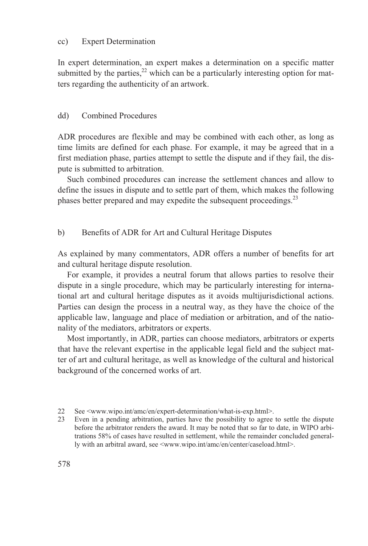#### cc) Expert Determination

In expert determination, an expert makes a determination on a specific matter submitted by the parties,  $22$  which can be a particularly interesting option for matters regarding the authenticity of an artwork.

#### dd) Combined Procedures

ADR procedures are flexible and may be combined with each other, as long as time limits are defined for each phase. For example, it may be agreed that in a first mediation phase, parties attempt to settle the dispute and if they fail, the dispute is submitted to arbitration.

Such combined procedures can increase the settlement chances and allow to define the issues in dispute and to settle part of them, which makes the following phases better prepared and may expedite the subsequent proceedings.<sup>23</sup>

#### b) Benefits of ADR for Art and Cultural Heritage Disputes

As explained by many commentators, ADR offers a number of benefits for art and cultural heritage dispute resolution.

For example, it provides a neutral forum that allows parties to resolve their dispute in a single procedure, which may be particularly interesting for international art and cultural heritage disputes as it avoids multijurisdictional actions. Parties can design the process in a neutral way, as they have the choice of the applicable law, language and place of mediation or arbitration, and of the nationality of the mediators, arbitrators or experts.

Most importantly, in ADR, parties can choose mediators, arbitrators or experts that have the relevant expertise in the applicable legal field and the subject matter of art and cultural heritage, as well as knowledge of the cultural and historical background of the concerned works of art.

- 22 See <www.wipo.int/amc/en/expert-determination/what-is-exp.html>.
- 23 Even in a pending arbitration, parties have the possibility to agree to settle the dispute before the arbitrator renders the award. It may be noted that so far to date, in WIPO arbitrations 58% of cases have resulted in settlement, while the remainder concluded generally with an arbitral award, see <www.wipo.int/amc/en/center/caseload.html>.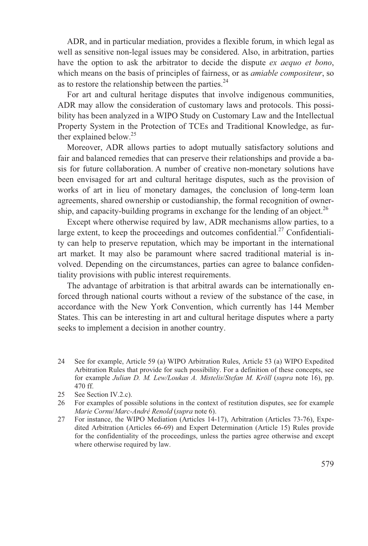ADR, and in particular mediation, provides a flexible forum, in which legal as well as sensitive non-legal issues may be considered. Also, in arbitration, parties have the option to ask the arbitrator to decide the dispute *ex aequo et bono*, which means on the basis of principles of fairness, or as *amiable compositeur*, so as to restore the relationship between the parties. $^{24}$ 

For art and cultural heritage disputes that involve indigenous communities, ADR may allow the consideration of customary laws and protocols. This possibility has been analyzed in a WIPO Study on Customary Law and the Intellectual Property System in the Protection of TCEs and Traditional Knowledge, as further explained below.<sup>25</sup>

Moreover, ADR allows parties to adopt mutually satisfactory solutions and fair and balanced remedies that can preserve their relationships and provide a basis for future collaboration. A number of creative non-monetary solutions have been envisaged for art and cultural heritage disputes, such as the provision of works of art in lieu of monetary damages, the conclusion of long-term loan agreements, shared ownership or custodianship, the formal recognition of ownership, and capacity-building programs in exchange for the lending of an object.<sup>26</sup>

Except where otherwise required by law, ADR mechanisms allow parties, to a large extent, to keep the proceedings and outcomes confidential.<sup>27</sup> Confidentiality can help to preserve reputation, which may be important in the international art market. It may also be paramount where sacred traditional material is involved. Depending on the circumstances, parties can agree to balance confidentiality provisions with public interest requirements.

The advantage of arbitration is that arbitral awards can be internationally enforced through national courts without a review of the substance of the case, in accordance with the New York Convention, which currently has 144 Member States. This can be interesting in art and cultural heritage disputes where a party seeks to implement a decision in another country.

- 24 See for example, Article 59 (a) WIPO Arbitration Rules, Article 53 (a) WIPO Expedited Arbitration Rules that provide for such possibility. For a definition of these concepts, see for example *Julian D. M. Lew/Loukas A. Mistelis*/*Stefan M. Kröll* (*supra* note 16), pp. 470 ff.
- 25 See Section IV.2.c).
- 26 For examples of possible solutions in the context of restitution disputes, see for example *Marie Cornu*/*Marc-André Renold* (*supra* note 6).
- 27 For instance, the WIPO Mediation (Articles 14-17), Arbitration (Articles 73-76), Expedited Arbitration (Articles 66-69) and Expert Determination (Article 15) Rules provide for the confidentiality of the proceedings, unless the parties agree otherwise and except where otherwise required by law.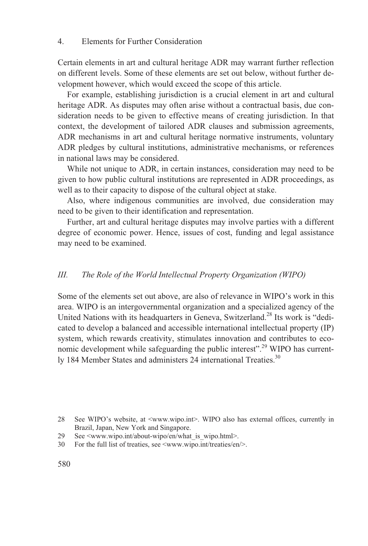Certain elements in art and cultural heritage ADR may warrant further reflection on different levels. Some of these elements are set out below, without further development however, which would exceed the scope of this article.

For example, establishing jurisdiction is a crucial element in art and cultural heritage ADR. As disputes may often arise without a contractual basis, due consideration needs to be given to effective means of creating jurisdiction. In that context, the development of tailored ADR clauses and submission agreements, ADR mechanisms in art and cultural heritage normative instruments, voluntary ADR pledges by cultural institutions, administrative mechanisms, or references in national laws may be considered.

While not unique to ADR, in certain instances, consideration may need to be given to how public cultural institutions are represented in ADR proceedings, as well as to their capacity to dispose of the cultural object at stake.

Also, where indigenous communities are involved, due consideration may need to be given to their identification and representation.

Further, art and cultural heritage disputes may involve parties with a different degree of economic power. Hence, issues of cost, funding and legal assistance may need to be examined.

#### *III. The Role of the World Intellectual Property Organization (WIPO)*

Some of the elements set out above, are also of relevance in WIPO's work in this area. WIPO is an intergovernmental organization and a specialized agency of the United Nations with its headquarters in Geneva, Switzerland.<sup>28</sup> Its work is "dedicated to develop a balanced and accessible international intellectual property (IP) system, which rewards creativity, stimulates innovation and contributes to economic development while safeguarding the public interest".<sup>29</sup> WIPO has currently 184 Member States and administers 24 international Treaties.<sup>30</sup>

<sup>28</sup> See WIPO's website, at <www.wipo.int>. WIPO also has external offices, currently in Brazil, Japan, New York and Singapore.

<sup>29</sup> See <www.wipo.int/about-wipo/en/what\_is\_wipo.html>.

<sup>30</sup> For the full list of treaties, see <www.wipo.int/treaties/en/>.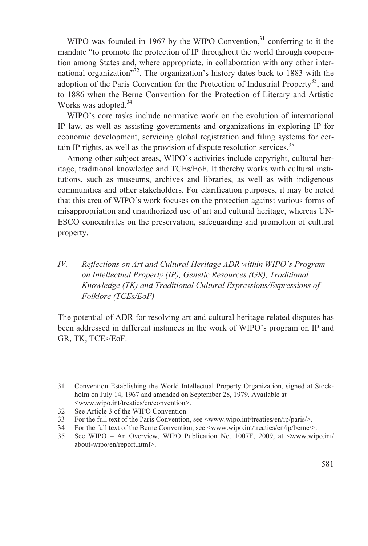WIPO was founded in 1967 by the WIPO Convention.<sup>31</sup> conferring to it the mandate "to promote the protection of IP throughout the world through cooperation among States and, where appropriate, in collaboration with any other international organization"32. The organization's history dates back to 1883 with the adoption of the Paris Convention for the Protection of Industrial Property<sup>33</sup>, and to 1886 when the Berne Convention for the Protection of Literary and Artistic Works was adopted.<sup>34</sup>

WIPO's core tasks include normative work on the evolution of international IP law, as well as assisting governments and organizations in exploring IP for economic development, servicing global registration and filing systems for certain IP rights, as well as the provision of dispute resolution services.<sup>35</sup>

Among other subject areas, WIPO's activities include copyright, cultural heritage, traditional knowledge and TCEs/EoF. It thereby works with cultural institutions, such as museums, archives and libraries, as well as with indigenous communities and other stakeholders. For clarification purposes, it may be noted that this area of WIPO's work focuses on the protection against various forms of misappropriation and unauthorized use of art and cultural heritage, whereas UN-ESCO concentrates on the preservation, safeguarding and promotion of cultural property.

### *IV. Reflections on Art and Cultural Heritage ADR within WIPO's Program on Intellectual Property (IP), Genetic Resources (GR), Traditional Knowledge (TK) and Traditional Cultural Expressions/Expressions of Folklore (TCEs/EoF)*

The potential of ADR for resolving art and cultural heritage related disputes has been addressed in different instances in the work of WIPO's program on IP and GR, TK, TCEs/EoF.

- 32 See Article 3 of the WIPO Convention.
- 33 For the full text of the Paris Convention, see <www.wipo.int/treaties/en/ip/paris/>.
- 34 For the full text of the Berne Convention, see <www.wipo.int/treaties/en/ip/berne/>.
- 35 See WIPO An Overview, WIPO Publication No. 1007E, 2009, at <www.wipo.int/ about-wipo/en/report.html>.

<sup>31</sup> Convention Establishing the World Intellectual Property Organization, signed at Stockholm on July 14, 1967 and amended on September 28, 1979. Available at <www.wipo.int/treaties/en/convention>.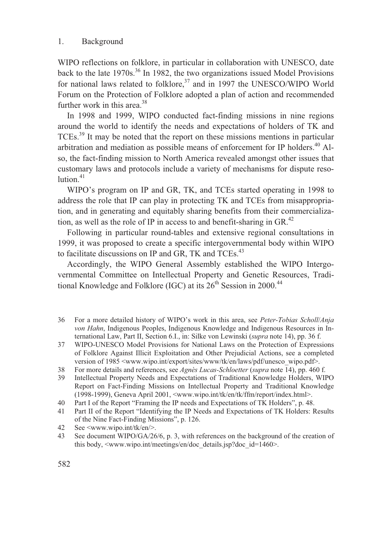WIPO reflections on folklore, in particular in collaboration with UNESCO, date back to the late  $1970s^{36}$  In 1982, the two organizations issued Model Provisions for national laws related to folklore, $37$  and in 1997 the UNESCO/WIPO World Forum on the Protection of Folklore adopted a plan of action and recommended further work in this area. $38$ 

In 1998 and 1999, WIPO conducted fact-finding missions in nine regions around the world to identify the needs and expectations of holders of TK and TCEs.39 It may be noted that the report on these missions mentions in particular arbitration and mediation as possible means of enforcement for IP holders.<sup>40</sup> Also, the fact-finding mission to North America revealed amongst other issues that customary laws and protocols include a variety of mechanisms for dispute reso $lution<sup>41</sup>$ 

WIPO's program on IP and GR, TK, and TCEs started operating in 1998 to address the role that IP can play in protecting TK and TCEs from misappropriation, and in generating and equitably sharing benefits from their commercialization, as well as the role of IP in access to and benefit-sharing in GR.<sup>42</sup>

Following in particular round-tables and extensive regional consultations in 1999, it was proposed to create a specific intergovernmental body within WIPO to facilitate discussions on IP and GR, TK and TCEs.<sup>43</sup>

Accordingly, the WIPO General Assembly established the WIPO Intergovernmental Committee on Intellectual Property and Genetic Resources, Traditional Knowledge and Folklore (IGC) at its  $26<sup>th</sup>$  Session in 2000.<sup>44</sup>

- 36 For a more detailed history of WIPO's work in this area, see *Peter-Tobias Scholl*/*Anja von Hahn*, Indigenous Peoples, Indigenous Knowledge and Indigenous Resources in International Law, Part II, Section 6.I., in: Silke von Lewinski (*supra* note 14), pp. 36 f.
- 37 WIPO-UNESCO Model Provisions for National Laws on the Protection of Expressions of Folklore Against Illicit Exploitation and Other Prejudicial Actions, see a completed version of 1985 <www.wipo.int/export/sites/www/tk/en/laws/pdf/unesco\_wipo.pdf>.
- 38 For more details and references, see *Agnès Lucas-Schloetter* (*supra* note 14), pp. 460 f.
- 39 Intellectual Property Needs and Expectations of Traditional Knowledge Holders, WIPO Report on Fact-Finding Missions on Intellectual Property and Traditional Knowledge (1998-1999), Geneva April 2001, <www.wipo.int/tk/en/tk/ffm/report/index.html>.
- 40 Part I of the Report "Framing the IP needs and Expectations of TK Holders", p. 48.
- 41 Part II of the Report "Identifying the IP Needs and Expectations of TK Holders: Results of the Nine Fact-Finding Missions", p. 126.
- 42 See <www.wipo.int/tk/en/>.
- 43 See document WIPO/GA/26/6, p. 3, with references on the background of the creation of this body, <www.wipo.int/meetings/en/doc\_details.jsp?doc\_id=1460>.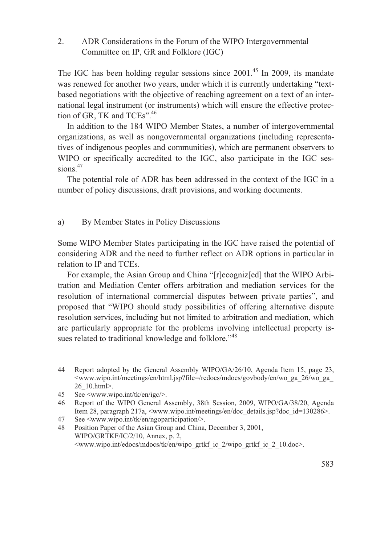2. ADR Considerations in the Forum of the WIPO Intergovernmental Committee on IP, GR and Folklore (IGC)

The IGC has been holding regular sessions since  $2001<sup>45</sup>$  In 2009, its mandate was renewed for another two years, under which it is currently undertaking "textbased negotiations with the objective of reaching agreement on a text of an international legal instrument (or instruments) which will ensure the effective protection of GR, TK and TCEs".<sup>46</sup>

In addition to the 184 WIPO Member States, a number of intergovernmental organizations, as well as nongovernmental organizations (including representatives of indigenous peoples and communities), which are permanent observers to WIPO or specifically accredited to the IGC, also participate in the IGC sessions. $47$ 

The potential role of ADR has been addressed in the context of the IGC in a number of policy discussions, draft provisions, and working documents.

#### a) By Member States in Policy Discussions

Some WIPO Member States participating in the IGC have raised the potential of considering ADR and the need to further reflect on ADR options in particular in relation to IP and TCEs.

For example, the Asian Group and China "[r]ecogniz[ed] that the WIPO Arbitration and Mediation Center offers arbitration and mediation services for the resolution of international commercial disputes between private parties", and proposed that "WIPO should study possibilities of offering alternative dispute resolution services, including but not limited to arbitration and mediation, which are particularly appropriate for the problems involving intellectual property issues related to traditional knowledge and folklore."<sup>48</sup>

- 44 Report adopted by the General Assembly WIPO/GA/26/10, Agenda Item 15, page 23,  $\leq$ www.wipo.int/meetings/en/html.jsp?file=/redocs/mdocs/govbody/en/wo\_ga\_26/wo\_ga\_ 26\_10.html>.
- 45 See <www.wipo.int/tk/en/igc/>.
- 46 Report of the WIPO General Assembly, 38th Session, 2009, WIPO/GA/38/20, Agenda Item 28, paragraph 217a, <www.wipo.int/meetings/en/doc\_details.jsp?doc\_id=130286>.
- 47 See <www.wipo.int/tk/en/ngoparticipation/>.

48 Position Paper of the Asian Group and China, December 3, 2001, WIPO/GRTKF/IC/2/10, Annex, p. 2, <www.wipo.int/edocs/mdocs/tk/en/wipo\_grtkf\_ic\_2/wipo\_grtkf\_ic\_2\_10.doc>.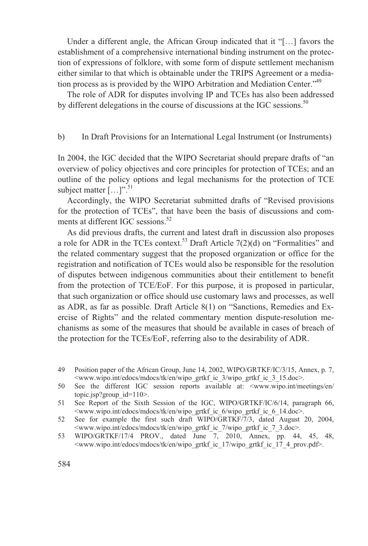Under a different angle, the African Group indicated that it "[…] favors the establishment of a comprehensive international binding instrument on the protection of expressions of folklore, with some form of dispute settlement mechanism either similar to that which is obtainable under the TRIPS Agreement or a mediation process as is provided by the WIPO Arbitration and Mediation Center."<sup>49</sup>

The role of ADR for disputes involving IP and TCEs has also been addressed by different delegations in the course of discussions at the IGC sessions.<sup>50</sup>

#### b) In Draft Provisions for an International Legal Instrument (or Instruments)

In 2004, the IGC decided that the WIPO Secretariat should prepare drafts of "an overview of policy objectives and core principles for protection of TCEs; and an outline of the policy options and legal mechanisms for the protection of TCE subject matter  $[\dots]$ ".<sup>51</sup>

Accordingly, the WIPO Secretariat submitted drafts of "Revised provisions for the protection of TCEs", that have been the basis of discussions and comments at different IGC sessions.<sup>52</sup>

As did previous drafts, the current and latest draft in discussion also proposes a role for ADR in the TCEs context.<sup>53</sup> Draft Article  $7(2)(d)$  on "Formalities" and the related commentary suggest that the proposed organization or office for the registration and notification of TCEs would also be responsible for the resolution of disputes between indigenous communities about their entitlement to benefit from the protection of TCE/EoF. For this purpose, it is proposed in particular, that such organization or office should use customary laws and processes, as well as ADR, as far as possible. Draft Article 8(1) on "Sanctions, Remedies and Exercise of Rights" and the related commentary mention dispute-resolution mechanisms as some of the measures that should be available in cases of breach of the protection for the TCEs/EoF, referring also to the desirability of ADR.

53 WIPO/GRTKF/17/4 PROV., dated June 7, 2010, Annex, pp. 44, 45, 48, <www.wipo.int/edocs/mdocs/tk/en/wipo\_grtkf\_ic\_17/wipo\_grtkf\_ic\_17\_4\_prov.pdf>.

<sup>49</sup> Position paper of the African Group, June 14, 2002, WIPO/GRTKF/IC/3/15, Annex, p. 7, <www.wipo.int/edocs/mdocs/tk/en/wipo\_grtkf\_ic\_3/wipo\_grtkf\_ic\_3\_15.doc>.

<sup>50</sup> See the different IGC session reports available at: <www.wipo.int/meetings/en/ topic.jsp?group\_id=110>.

<sup>51</sup> See Report of the Sixth Session of the IGC, WIPO/GRTKF/IC/6/14, paragraph 66, <www.wipo.int/edocs/mdocs/tk/en/wipo\_grtkf\_ic\_6/wipo\_grtkf\_ic\_6\_14.doc>.

<sup>52</sup> See for example the first such draft WIPO/GRTKF/7/3, dated August 20, 2004, <www.wipo.int/edocs/mdocs/tk/en/wipo\_grtkf\_ic\_7/wipo\_grtkf\_ic\_7\_3.doc>.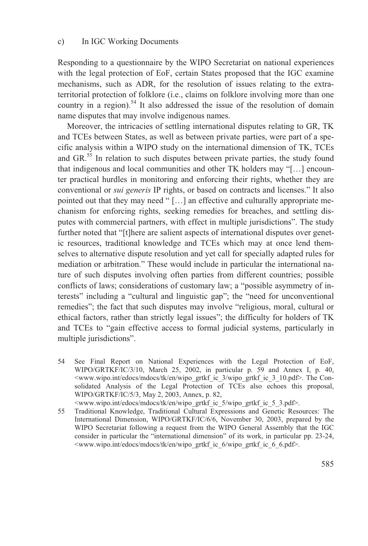Responding to a questionnaire by the WIPO Secretariat on national experiences with the legal protection of EoF, certain States proposed that the IGC examine mechanisms, such as ADR, for the resolution of issues relating to the extraterritorial protection of folklore (i.e., claims on folklore involving more than one country in a region).<sup>54</sup> It also addressed the issue of the resolution of domain name disputes that may involve indigenous names.

Moreover, the intricacies of settling international disputes relating to GR, TK and TCEs between States, as well as between private parties, were part of a specific analysis within a WIPO study on the international dimension of TK, TCEs and  $GR<sup>55</sup>$  In relation to such disputes between private parties, the study found that indigenous and local communities and other TK holders may "[…] encounter practical hurdles in monitoring and enforcing their rights, whether they are conventional or *sui generis* IP rights, or based on contracts and licenses." It also pointed out that they may need " […] an effective and culturally appropriate mechanism for enforcing rights, seeking remedies for breaches, and settling disputes with commercial partners, with effect in multiple jurisdictions". The study further noted that "[t]here are salient aspects of international disputes over genetic resources, traditional knowledge and TCEs which may at once lend themselves to alternative dispute resolution and yet call for specially adapted rules for mediation or arbitration." These would include in particular the international nature of such disputes involving often parties from different countries; possible conflicts of laws; considerations of customary law; a "possible asymmetry of interests" including a "cultural and linguistic gap"; the "need for unconventional remedies"; the fact that such disputes may involve "religious, moral, cultural or ethical factors, rather than strictly legal issues"; the difficulty for holders of TK and TCEs to "gain effective access to formal judicial systems, particularly in multiple jurisdictions".

54 See Final Report on National Experiences with the Legal Protection of EoF, WIPO/GRTKF/IC/3/10, March 25, 2002, in particular p. 59 and Annex I, p. 40, <www.wipo.int/edocs/mdocs/tk/en/wipo\_grtkf\_ic\_3/wipo\_grtkf\_ic\_3\_10.pdf>. The Consolidated Analysis of the Legal Protection of TCEs also echoes this proposal, WIPO/GRTKF/IC/5/3, May 2, 2003, Annex, p. 82,

<www.wipo.int/edocs/mdocs/tk/en/wipo\_grtkf\_ic\_5/wipo\_grtkf\_ic\_5\_3.pdf>.

55 Traditional Knowledge, Traditional Cultural Expressions and Genetic Resources: The International Dimension, WIPO/GRTKF/IC/6/6, November 30, 2003, prepared by the WIPO Secretariat following a request from the WIPO General Assembly that the IGC consider in particular the "international dimension" of its work, in particular pp. 23-24, <www.wipo.int/edocs/mdocs/tk/en/wipo\_grtkf\_ic\_6/wipo\_grtkf\_ic\_6\_6.pdf>.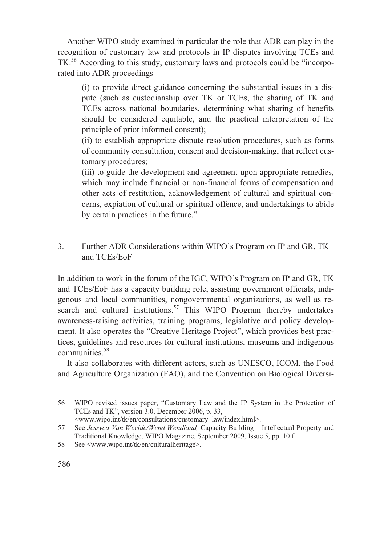Another WIPO study examined in particular the role that ADR can play in the recognition of customary law and protocols in IP disputes involving TCEs and TK.<sup>56</sup> According to this study, customary laws and protocols could be "incorporated into ADR proceedings

(i) to provide direct guidance concerning the substantial issues in a dispute (such as custodianship over TK or TCEs, the sharing of TK and TCEs across national boundaries, determining what sharing of benefits should be considered equitable, and the practical interpretation of the principle of prior informed consent);

(ii) to establish appropriate dispute resolution procedures, such as forms of community consultation, consent and decision-making, that reflect customary procedures;

(iii) to guide the development and agreement upon appropriate remedies, which may include financial or non-financial forms of compensation and other acts of restitution, acknowledgement of cultural and spiritual concerns, expiation of cultural or spiritual offence, and undertakings to abide by certain practices in the future."

3. Further ADR Considerations within WIPO's Program on IP and GR, TK and TCEs/EoF

In addition to work in the forum of the IGC, WIPO's Program on IP and GR, TK and TCEs/EoF has a capacity building role, assisting government officials, indigenous and local communities, nongovernmental organizations, as well as research and cultural institutions.<sup>57</sup> This WIPO Program thereby undertakes awareness-raising activities, training programs, legislative and policy development. It also operates the "Creative Heritage Project", which provides best practices, guidelines and resources for cultural institutions, museums and indigenous communities<sup>58</sup>

It also collaborates with different actors, such as UNESCO, ICOM, the Food and Agriculture Organization (FAO), and the Convention on Biological Diversi-

<sup>56</sup> WIPO revised issues paper, "Customary Law and the IP System in the Protection of TCEs and TK", version 3.0, December 2006, p. 33,

 <sup>&</sup>lt;www.wipo.int/tk/en/consultations/customary\_law/index.html>.

<sup>57</sup> See *Jessyca Van Weelde/Wend Wendland,* Capacity Building – Intellectual Property and Traditional Knowledge, WIPO Magazine, September 2009, Issue 5, pp. 10 f.

<sup>58</sup> See <www.wipo.int/tk/en/culturalheritage>.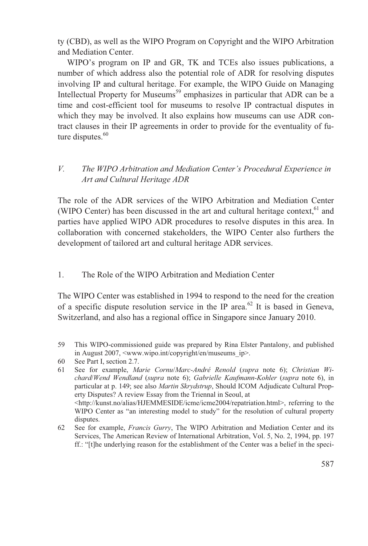ty (CBD), as well as the WIPO Program on Copyright and the WIPO Arbitration and Mediation Center.

WIPO's program on IP and GR, TK and TCEs also issues publications, a number of which address also the potential role of ADR for resolving disputes involving IP and cultural heritage. For example, the WIPO Guide on Managing Intellectual Property for Museums<sup>59</sup> emphasizes in particular that ADR can be a time and cost-efficient tool for museums to resolve IP contractual disputes in which they may be involved. It also explains how museums can use ADR contract clauses in their IP agreements in order to provide for the eventuality of future disputes. $60$ 

#### *V. The WIPO Arbitration and Mediation Center's Procedural Experience in Art and Cultural Heritage ADR*

The role of the ADR services of the WIPO Arbitration and Mediation Center (WIPO Center) has been discussed in the art and cultural heritage context, $61$  and parties have applied WIPO ADR procedures to resolve disputes in this area. In collaboration with concerned stakeholders, the WIPO Center also furthers the development of tailored art and cultural heritage ADR services.

#### 1. The Role of the WIPO Arbitration and Mediation Center

The WIPO Center was established in 1994 to respond to the need for the creation of a specific dispute resolution service in the IP area.<sup>62</sup> It is based in Geneva, Switzerland, and also has a regional office in Singapore since January 2010.

59 This WIPO-commissioned guide was prepared by Rina Elster Pantalony, and published in August 2007, <www.wipo.int/copyright/en/museums\_ip>.

<sup>60</sup> See Part I, section 2.7.

<sup>61</sup> See for example, *Marie Cornu*/*Marc-André Renold* (*supra* note 6); *Christian Wichard*/*Wend Wendland* (*supra* note 6); *Gabrielle Kaufmann-Kohler* (*supra* note 6), in particular at p. 149; see also *Martin Skrydstrup*, Should ICOM Adjudicate Cultural Property Disputes? A review Essay from the Triennal in Seoul, at <http://kunst.no/alias/HJEMMESIDE/icme/icme2004/repatriation.html>, referring to the WIPO Center as "an interesting model to study" for the resolution of cultural property disputes.

<sup>62</sup> See for example, *Francis Gurry*, The WIPO Arbitration and Mediation Center and its Services, The American Review of International Arbitration, Vol. 5, No. 2, 1994, pp. 197 ff.: "[t]he underlying reason for the establishment of the Center was a belief in the speci-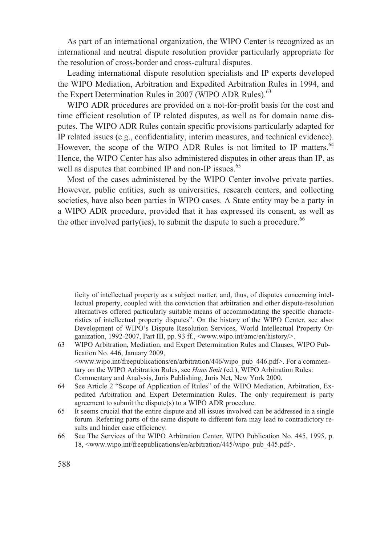As part of an international organization, the WIPO Center is recognized as an international and neutral dispute resolution provider particularly appropriate for the resolution of cross-border and cross-cultural disputes.

Leading international dispute resolution specialists and IP experts developed the WIPO Mediation, Arbitration and Expedited Arbitration Rules in 1994, and the Expert Determination Rules in 2007 (WIPO ADR Rules).<sup>63</sup>

WIPO ADR procedures are provided on a not-for-profit basis for the cost and time efficient resolution of IP related disputes, as well as for domain name disputes. The WIPO ADR Rules contain specific provisions particularly adapted for IP related issues (e.g., confidentiality, interim measures, and technical evidence). However, the scope of the WIPO ADR Rules is not limited to IP matters.<sup>64</sup> Hence, the WIPO Center has also administered disputes in other areas than IP, as well as disputes that combined IP and non-IP issues.<sup>65</sup>

Most of the cases administered by the WIPO Center involve private parties. However, public entities, such as universities, research centers, and collecting societies, have also been parties in WIPO cases. A State entity may be a party in a WIPO ADR procedure, provided that it has expressed its consent, as well as the other involved party(ies), to submit the dispute to such a procedure.<sup>66</sup>

ficity of intellectual property as a subject matter, and, thus, of disputes concerning intellectual property, coupled with the conviction that arbitration and other dispute-resolution alternatives offered particularly suitable means of accommodating the specific characteristics of intellectual property disputes". On the history of the WIPO Center, see also: Development of WIPO's Dispute Resolution Services, World Intellectual Property Organization, 1992-2007, Part III, pp. 93 ff., <www.wipo.int/amc/en/history/>.

- 63 WIPO Arbitration, Mediation, and Expert Determination Rules and Clauses, WIPO Publication No. 446, January 2009,  $\leq$ www.wipo.int/freepublications/en/arbitration/446/wipo\_pub\_446.pdf>. For a commentary on the WIPO Arbitration Rules, see *Hans Smit* (ed.), WIPO Arbitration Rules: Commentary and Analysis, Juris Publishing, Juris Net, New York 2000.
- 64 See Article 2 "Scope of Application of Rules" of the WIPO Mediation, Arbitration, Expedited Arbitration and Expert Determination Rules. The only requirement is party agreement to submit the dispute(s) to a WIPO ADR procedure.
- 65 It seems crucial that the entire dispute and all issues involved can be addressed in a single forum. Referring parts of the same dispute to different fora may lead to contradictory results and hinder case efficiency.
- 66 See The Services of the WIPO Arbitration Center, WIPO Publication No. 445, 1995, p. 18, <www.wipo.int/freepublications/en/arbitration/445/wipo\_pub\_445.pdf>.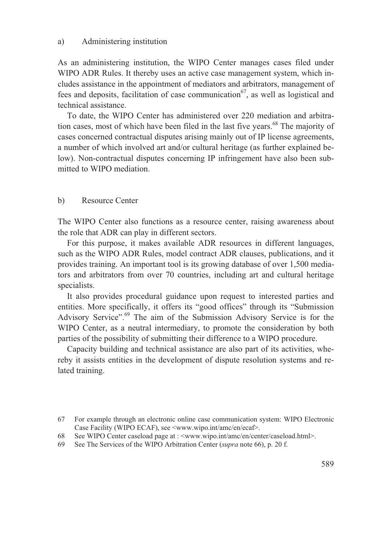#### a) Administering institution

As an administering institution, the WIPO Center manages cases filed under WIPO ADR Rules. It thereby uses an active case management system, which includes assistance in the appointment of mediators and arbitrators, management of fees and deposits, facilitation of case communication<sup>67</sup>, as well as logistical and technical assistance.

To date, the WIPO Center has administered over 220 mediation and arbitration cases, most of which have been filed in the last five years.<sup>68</sup> The majority of cases concerned contractual disputes arising mainly out of IP license agreements, a number of which involved art and/or cultural heritage (as further explained below). Non-contractual disputes concerning IP infringement have also been submitted to WIPO mediation.

#### b) Resource Center

The WIPO Center also functions as a resource center, raising awareness about the role that ADR can play in different sectors.

For this purpose, it makes available ADR resources in different languages, such as the WIPO ADR Rules, model contract ADR clauses, publications, and it provides training. An important tool is its growing database of over 1,500 mediators and arbitrators from over 70 countries, including art and cultural heritage specialists.

It also provides procedural guidance upon request to interested parties and entities. More specifically, it offers its "good offices" through its "Submission Advisory Service".<sup>69</sup> The aim of the Submission Advisory Service is for the WIPO Center, as a neutral intermediary, to promote the consideration by both parties of the possibility of submitting their difference to a WIPO procedure.

Capacity building and technical assistance are also part of its activities, whereby it assists entities in the development of dispute resolution systems and related training.

<sup>67</sup> For example through an electronic online case communication system: WIPO Electronic Case Facility (WIPO ECAF), see <www.wipo.int/amc/en/ecaf>.

<sup>68</sup> See WIPO Center caseload page at : <www.wipo.int/amc/en/center/caseload.html>.

<sup>69</sup> See The Services of the WIPO Arbitration Center (*supra* note 66), p. 20 f.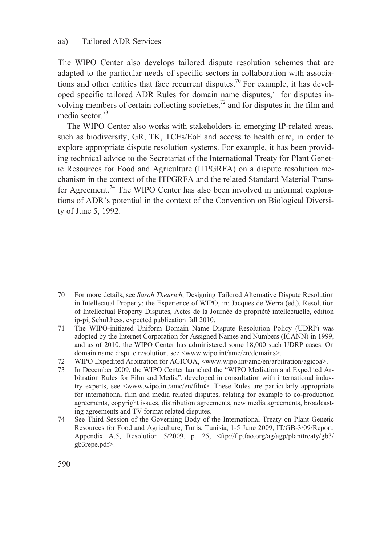#### aa) Tailored ADR Services

The WIPO Center also develops tailored dispute resolution schemes that are adapted to the particular needs of specific sectors in collaboration with associations and other entities that face recurrent disputes.<sup>70</sup> For example, it has developed specific tailored ADR Rules for domain name disputes,<sup>71</sup> for disputes involving members of certain collecting societies, $^{72}$  and for disputes in the film and media sector<sup>73</sup>

The WIPO Center also works with stakeholders in emerging IP-related areas, such as biodiversity, GR, TK, TCEs/EoF and access to health care, in order to explore appropriate dispute resolution systems. For example, it has been providing technical advice to the Secretariat of the International Treaty for Plant Genetic Resources for Food and Agriculture (ITPGRFA) on a dispute resolution mechanism in the context of the ITPGRFA and the related Standard Material Transfer Agreement.<sup>74</sup> The WIPO Center has also been involved in informal explorations of ADR's potential in the context of the Convention on Biological Diversity of June 5, 1992.

- 70 For more details, see *Sarah Theurich*, Designing Tailored Alternative Dispute Resolution in Intellectual Property: the Experience of WIPO, in: Jacques de Werra (ed.), Resolution of Intellectual Property Disputes, Actes de la Journée de propriété intellectuelle, edition ip-pi, Schulthess, expected publication fall 2010.
- 71 The WIPO-initiated Uniform Domain Name Dispute Resolution Policy (UDRP) was adopted by the Internet Corporation for Assigned Names and Numbers (ICANN) in 1999, and as of 2010, the WIPO Center has administered some 18,000 such UDRP cases. On domain name dispute resolution, see <www.wipo.int/amc/en/domains>.
- 72 WIPO Expedited Arbitration for AGICOA, <www.wipo.int/amc/en/arbitration/agicoa>.
- 73 In December 2009, the WIPO Center launched the "WIPO Mediation and Expedited Arbitration Rules for Film and Media", developed in consultation with international industry experts, see <www.wipo.int/amc/en/film>. These Rules are particularly appropriate for international film and media related disputes, relating for example to co-production agreements, copyright issues, distribution agreements, new media agreements, broadcasting agreements and TV format related disputes.
- 74 See Third Session of the Governing Body of the International Treaty on Plant Genetic Resources for Food and Agriculture, Tunis, Tunisia, 1-5 June 2009, IT/GB-3/09/Report, Appendix A.5, Resolution 5/2009, p. 25, <ftp://ftp.fao.org/ag/agp/planttreaty/gb3/ gb3repe.pdf>.

590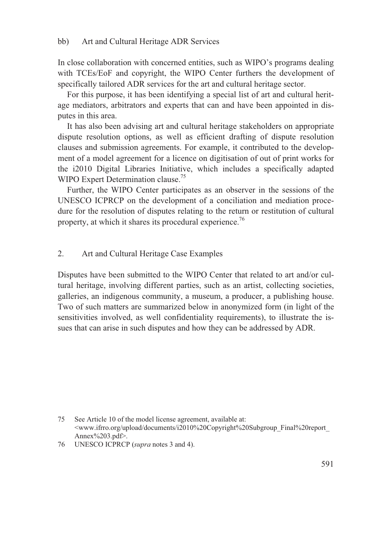In close collaboration with concerned entities, such as WIPO's programs dealing with TCEs/EoF and copyright, the WIPO Center furthers the development of specifically tailored ADR services for the art and cultural heritage sector.

For this purpose, it has been identifying a special list of art and cultural heritage mediators, arbitrators and experts that can and have been appointed in disputes in this area.

It has also been advising art and cultural heritage stakeholders on appropriate dispute resolution options, as well as efficient drafting of dispute resolution clauses and submission agreements. For example, it contributed to the development of a model agreement for a licence on digitisation of out of print works for the i2010 Digital Libraries Initiative, which includes a specifically adapted WIPO Expert Determination clause.<sup>75</sup>

Further, the WIPO Center participates as an observer in the sessions of the UNESCO ICPRCP on the development of a conciliation and mediation procedure for the resolution of disputes relating to the return or restitution of cultural property, at which it shares its procedural experience.<sup>76</sup>

#### 2. Art and Cultural Heritage Case Examples

Disputes have been submitted to the WIPO Center that related to art and/or cultural heritage, involving different parties, such as an artist, collecting societies, galleries, an indigenous community, a museum, a producer, a publishing house. Two of such matters are summarized below in anonymized form (in light of the sensitivities involved, as well confidentiality requirements), to illustrate the issues that can arise in such disputes and how they can be addressed by ADR.

<sup>75</sup> See Article 10 of the model license agreement, available at: <www.ifrro.org/upload/documents/i2010%20Copyright%20Subgroup\_Final%20report\_ Annex%203.pdf>.

<sup>76</sup> UNESCO ICPRCP (*supra* notes 3 and 4).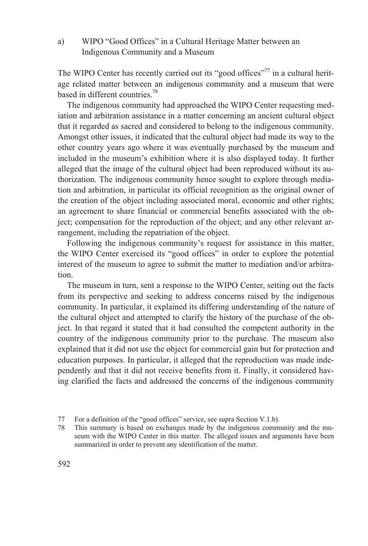a) WIPO "Good Offices" in a Cultural Heritage Matter between an Indigenous Community and a Museum

The WIPO Center has recently carried out its "good offices"<sup>77</sup> in a cultural heritage related matter between an indigenous community and a museum that were based in different countries.<sup>78</sup>

The indigenous community had approached the WIPO Center requesting mediation and arbitration assistance in a matter concerning an ancient cultural object that it regarded as sacred and considered to belong to the indigenous community. Amongst other issues, it indicated that the cultural object had made its way to the other country years ago where it was eventually purchased by the museum and included in the museum's exhibition where it is also displayed today. It further alleged that the image of the cultural object had been reproduced without its authorization. The indigenous community hence sought to explore through mediation and arbitration, in particular its official recognition as the original owner of the creation of the object including associated moral, economic and other rights; an agreement to share financial or commercial benefits associated with the object; compensation for the reproduction of the object; and any other relevant arrangement, including the repatriation of the object.

Following the indigenous community's request for assistance in this matter, the WIPO Center exercised its "good offices" in order to explore the potential interest of the museum to agree to submit the matter to mediation and/or arbitration.

The museum in turn, sent a response to the WIPO Center, setting out the facts from its perspective and seeking to address concerns raised by the indigenous community. In particular, it explained its differing understanding of the nature of the cultural object and attempted to clarify the history of the purchase of the object. In that regard it stated that it had consulted the competent authority in the country of the indigenous community prior to the purchase. The museum also explained that it did not use the object for commercial gain but for protection and education purposes. In particular, it alleged that the reproduction was made independently and that it did not receive benefits from it. Finally, it considered having clarified the facts and addressed the concerns of the indigenous community

<sup>77</sup> For a definition of the "good offices" service, see supra Section V.1.b).

<sup>78</sup> This summary is based on exchanges made by the indigenous community and the museum with the WIPO Center in this matter. The alleged issues and arguments have been summarized in order to prevent any identification of the matter.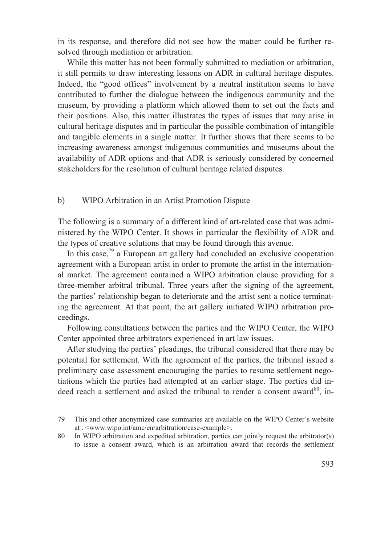in its response, and therefore did not see how the matter could be further resolved through mediation or arbitration.

While this matter has not been formally submitted to mediation or arbitration, it still permits to draw interesting lessons on ADR in cultural heritage disputes. Indeed, the "good offices" involvement by a neutral institution seems to have contributed to further the dialogue between the indigenous community and the museum, by providing a platform which allowed them to set out the facts and their positions. Also, this matter illustrates the types of issues that may arise in cultural heritage disputes and in particular the possible combination of intangible and tangible elements in a single matter. It further shows that there seems to be increasing awareness amongst indigenous communities and museums about the availability of ADR options and that ADR is seriously considered by concerned stakeholders for the resolution of cultural heritage related disputes.

#### b) WIPO Arbitration in an Artist Promotion Dispute

The following is a summary of a different kind of art-related case that was administered by the WIPO Center. It shows in particular the flexibility of ADR and the types of creative solutions that may be found through this avenue.

In this case, $^{79}$  a European art gallery had concluded an exclusive cooperation agreement with a European artist in order to promote the artist in the international market. The agreement contained a WIPO arbitration clause providing for a three-member arbitral tribunal. Three years after the signing of the agreement, the parties' relationship began to deteriorate and the artist sent a notice terminating the agreement. At that point, the art gallery initiated WIPO arbitration proceedings.

Following consultations between the parties and the WIPO Center, the WIPO Center appointed three arbitrators experienced in art law issues.

After studying the parties' pleadings, the tribunal considered that there may be potential for settlement. With the agreement of the parties, the tribunal issued a preliminary case assessment encouraging the parties to resume settlement negotiations which the parties had attempted at an earlier stage. The parties did indeed reach a settlement and asked the tribunal to render a consent award $^{80}$ , in-

80 In WIPO arbitration and expedited arbitration, parties can jointly request the arbitrator(s) to issue a consent award, which is an arbitration award that records the settlement

<sup>79</sup> This and other anonymized case summaries are available on the WIPO Center's website at : <www.wipo.int/amc/en/arbitration/case-example>.